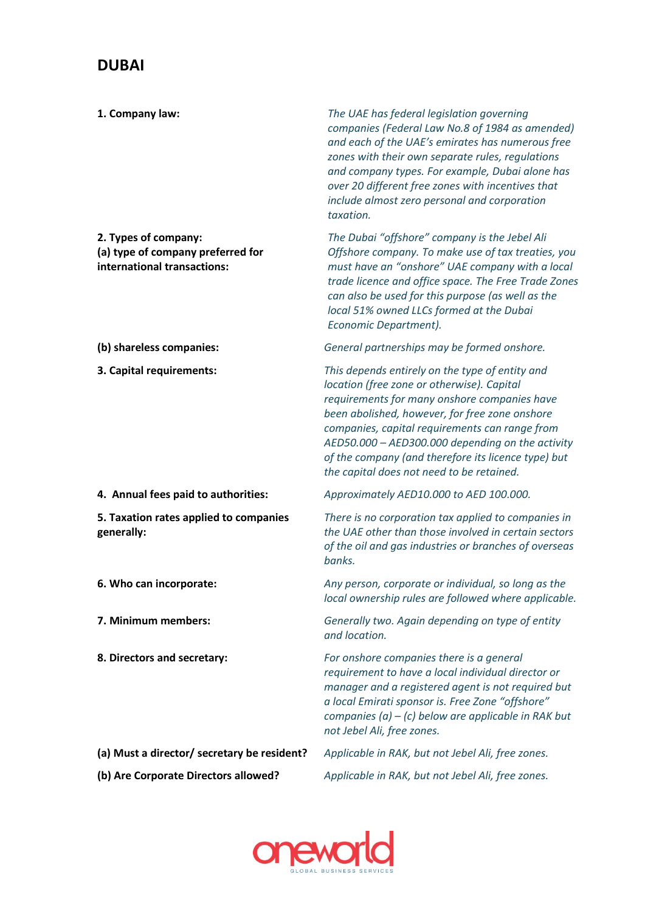## **DUBAI**

| 1. Company law:                                                                          | The UAE has federal legislation governing<br>companies (Federal Law No.8 of 1984 as amended)<br>and each of the UAE's emirates has numerous free<br>zones with their own separate rules, regulations<br>and company types. For example, Dubai alone has<br>over 20 different free zones with incentives that<br>include almost zero personal and corporation<br>taxation.                                 |
|------------------------------------------------------------------------------------------|-----------------------------------------------------------------------------------------------------------------------------------------------------------------------------------------------------------------------------------------------------------------------------------------------------------------------------------------------------------------------------------------------------------|
| 2. Types of company:<br>(a) type of company preferred for<br>international transactions: | The Dubai "offshore" company is the Jebel Ali<br>Offshore company. To make use of tax treaties, you<br>must have an "onshore" UAE company with a local<br>trade licence and office space. The Free Trade Zones<br>can also be used for this purpose (as well as the<br>local 51% owned LLCs formed at the Dubai<br>Economic Department).                                                                  |
| (b) shareless companies:                                                                 | General partnerships may be formed onshore.                                                                                                                                                                                                                                                                                                                                                               |
| 3. Capital requirements:                                                                 | This depends entirely on the type of entity and<br>location (free zone or otherwise). Capital<br>requirements for many onshore companies have<br>been abolished, however, for free zone onshore<br>companies, capital requirements can range from<br>AED50.000 - AED300.000 depending on the activity<br>of the company (and therefore its licence type) but<br>the capital does not need to be retained. |
| 4. Annual fees paid to authorities:                                                      | Approximately AED10.000 to AED 100.000.                                                                                                                                                                                                                                                                                                                                                                   |
| 5. Taxation rates applied to companies<br>generally:                                     | There is no corporation tax applied to companies in<br>the UAE other than those involved in certain sectors<br>of the oil and gas industries or branches of overseas<br>banks.                                                                                                                                                                                                                            |
| 6. Who can incorporate:                                                                  | Any person, corporate or individual, so long as the<br>local ownership rules are followed where applicable.                                                                                                                                                                                                                                                                                               |
| 7. Minimum members:                                                                      | Generally two. Again depending on type of entity<br>and location.                                                                                                                                                                                                                                                                                                                                         |
| 8. Directors and secretary:                                                              | For onshore companies there is a general<br>requirement to have a local individual director or<br>manager and a registered agent is not required but<br>a local Emirati sponsor is. Free Zone "offshore"<br>companies (a) $-$ (c) below are applicable in RAK but<br>not Jebel Ali, free zones.                                                                                                           |
| (a) Must a director/ secretary be resident?                                              | Applicable in RAK, but not Jebel Ali, free zones.                                                                                                                                                                                                                                                                                                                                                         |
| (b) Are Corporate Directors allowed?                                                     | Applicable in RAK, but not Jebel Ali, free zones.                                                                                                                                                                                                                                                                                                                                                         |